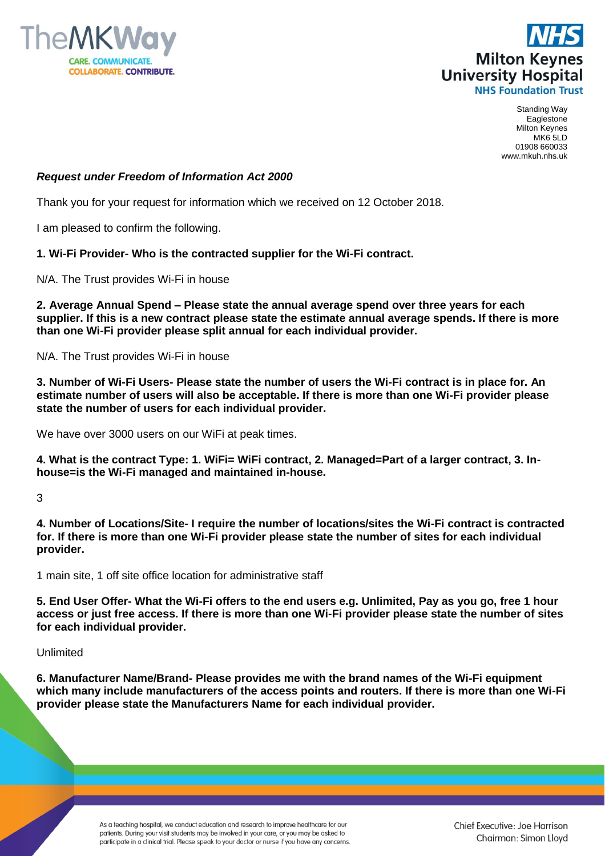



Standing Way Eaglestone Milton Keynes MK6 5LD 01908 660033 www.mkuh.nhs.uk

# *Request under Freedom of Information Act 2000*

Thank you for your request for information which we received on 12 October 2018.

I am pleased to confirm the following.

### **1. Wi-Fi Provider- Who is the contracted supplier for the Wi-Fi contract.**

N/A. The Trust provides Wi-Fi in house

**2. Average Annual Spend – Please state the annual average spend over three years for each supplier. If this is a new contract please state the estimate annual average spends. If there is more than one Wi-Fi provider please split annual for each individual provider.**

N/A. The Trust provides Wi-Fi in house

**3. Number of Wi-Fi Users- Please state the number of users the Wi-Fi contract is in place for. An estimate number of users will also be acceptable. If there is more than one Wi-Fi provider please state the number of users for each individual provider.**

We have over 3000 users on our WiFi at peak times.

**4. What is the contract Type: 1. WiFi= WiFi contract, 2. Managed=Part of a larger contract, 3. Inhouse=is the Wi-Fi managed and maintained in-house.**

#### 3

**4. Number of Locations/Site- I require the number of locations/sites the Wi-Fi contract is contracted for. If there is more than one Wi-Fi provider please state the number of sites for each individual provider.**

1 main site, 1 off site office location for administrative staff

**5. End User Offer- What the Wi-Fi offers to the end users e.g. Unlimited, Pay as you go, free 1 hour access or just free access. If there is more than one Wi-Fi provider please state the number of sites for each individual provider.**

# Unlimited

**6. Manufacturer Name/Brand- Please provides me with the brand names of the Wi-Fi equipment which many include manufacturers of the access points and routers. If there is more than one Wi-Fi provider please state the Manufacturers Name for each individual provider.**

> As a teaching hospital, we conduct education and research to improve healthcare for our patients. During your visit students may be involved in your care, or you may be asked to participate in a clinical trial. Please speak to your doctor or nurse if you have any concerns.

Chief Executive: Joe Harrison Chairman: Simon Lloyd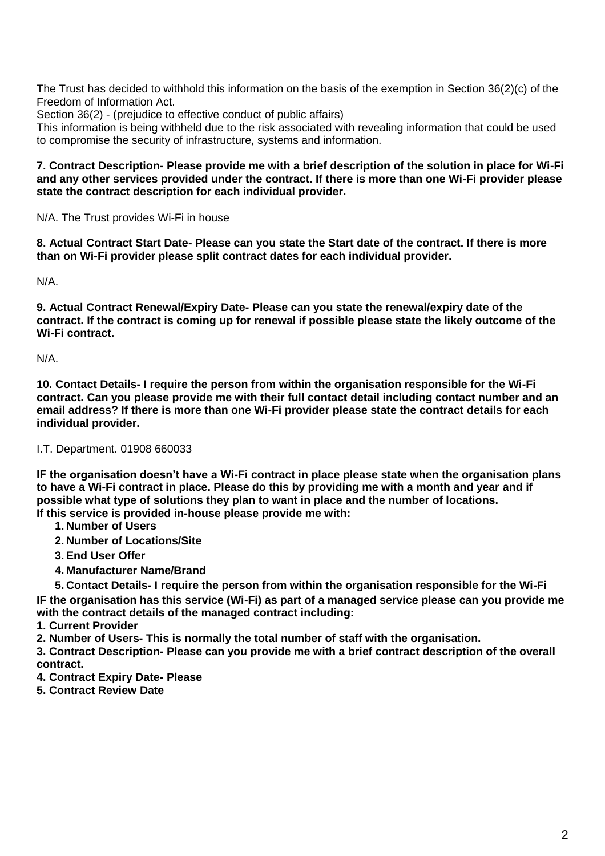The Trust has decided to withhold this information on the basis of the exemption in Section 36(2)(c) of the Freedom of Information Act.

Section 36(2) - (prejudice to effective conduct of public affairs)

This information is being withheld due to the risk associated with revealing information that could be used to compromise the security of infrastructure, systems and information.

## **7. Contract Description- Please provide me with a brief description of the solution in place for Wi-Fi and any other services provided under the contract. If there is more than one Wi-Fi provider please state the contract description for each individual provider.**

N/A. The Trust provides Wi-Fi in house

**8. Actual Contract Start Date- Please can you state the Start date of the contract. If there is more than on Wi-Fi provider please split contract dates for each individual provider.**

N/A.

**9. Actual Contract Renewal/Expiry Date- Please can you state the renewal/expiry date of the contract. If the contract is coming up for renewal if possible please state the likely outcome of the Wi-Fi contract.**

N/A.

**10. Contact Details- I require the person from within the organisation responsible for the Wi-Fi contract. Can you please provide me with their full contact detail including contact number and an email address? If there is more than one Wi-Fi provider please state the contract details for each individual provider.**

# I.T. Department. 01908 660033

**IF the organisation doesn't have a Wi-Fi contract in place please state when the organisation plans to have a Wi-Fi contract in place. Please do this by providing me with a month and year and if possible what type of solutions they plan to want in place and the number of locations. If this service is provided in-house please provide me with:**

- **1. Number of Users**
- **2. Number of Locations/Site**
- **3. End User Offer**
- **4. Manufacturer Name/Brand**

**5. Contact Details- I require the person from within the organisation responsible for the Wi-Fi IF the organisation has this service (Wi-Fi) as part of a managed service please can you provide me with the contract details of the managed contract including:**

# **1. Current Provider**

**2. Number of Users- This is normally the total number of staff with the organisation.**

**3. Contract Description- Please can you provide me with a brief contract description of the overall contract.**

**4. Contract Expiry Date- Please** 

**5. Contract Review Date**